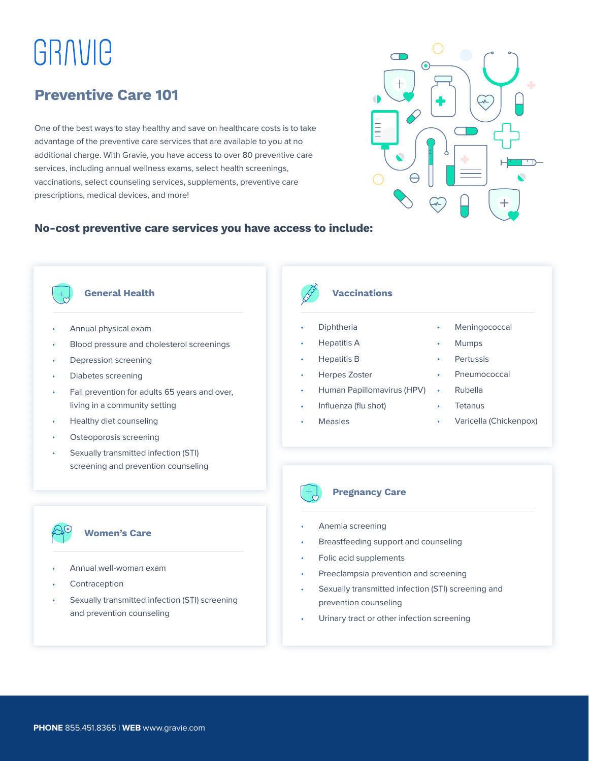# GRAVIC

## **Preventive Care 101**

One of the best ways to stay healthy and save on healthcare costs is to take advantage of the preventive care services that are available to you at no additional charge. With Gravie, you have access to over 80 preventive care services, including annual wellness exams, select health screenings, vaccinations, select counseling services, supplements, preventive care prescriptions, medical devices, and more!



### **No-cost preventive care services you have access to include:**